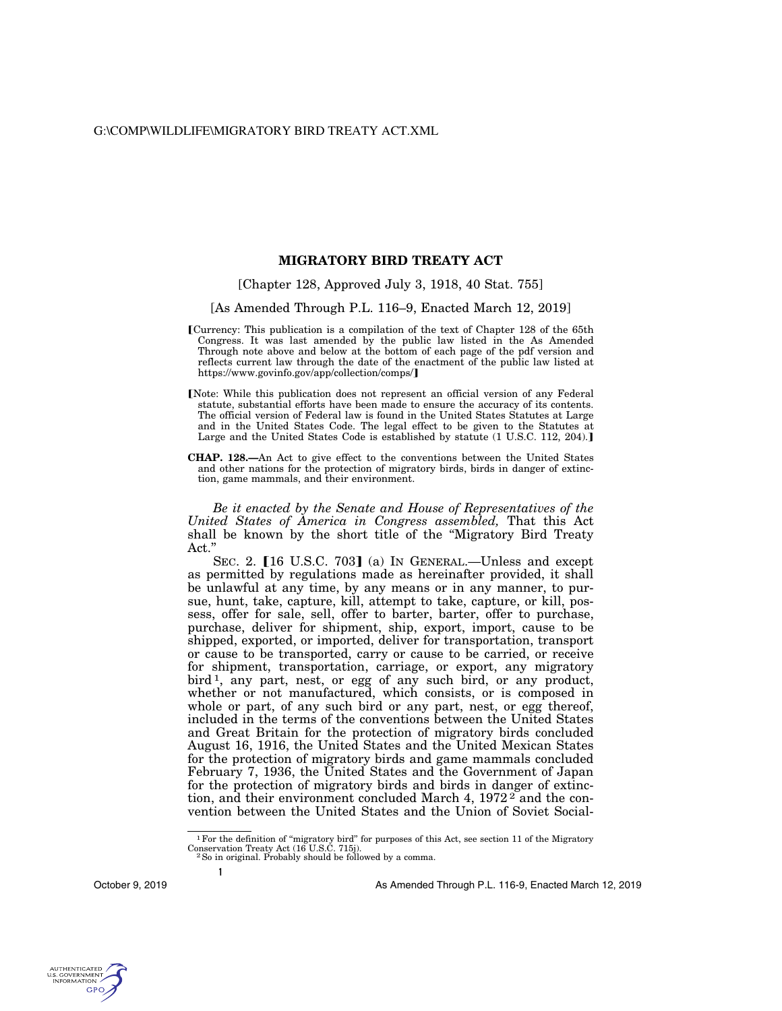## **MIGRATORY BIRD TREATY ACT**

## [Chapter 128, Approved July 3, 1918, 40 Stat. 755]

[As Amended Through P.L. 116–9, Enacted March 12, 2019]

- øCurrency: This publication is a compilation of the text of Chapter 128 of the 65th Congress. It was last amended by the public law listed in the As Amended Through note above and below at the bottom of each page of the pdf version and reflects current law through the date of the enactment of the public law listed at https://www.govinfo.gov/app/collection/comps/
- [Note: While this publication does not represent an official version of any Federal statute, substantial efforts have been made to ensure the accuracy of its contents. The official version of Federal law is found in the United States Statutes at Large and in the United States Code. The legal effect to be given to the Statutes at Large and the United States Code is established by statute (1 U.S.C. 112, 204).]
- **CHAP. 128.—**An Act to give effect to the conventions between the United States and other nations for the protection of migratory birds, birds in danger of extinction, game mammals, and their environment.

*Be it enacted by the Senate and House of Representatives of the United States of America in Congress assembled,* That this Act shall be known by the short title of the ''Migratory Bird Treaty Act.''

SEC. 2. [16 U.S.C. 703] (a) IN GENERAL.—Unless and except as permitted by regulations made as hereinafter provided, it shall be unlawful at any time, by any means or in any manner, to pursue, hunt, take, capture, kill, attempt to take, capture, or kill, possess, offer for sale, sell, offer to barter, barter, offer to purchase, purchase, deliver for shipment, ship, export, import, cause to be shipped, exported, or imported, deliver for transportation, transport or cause to be transported, carry or cause to be carried, or receive for shipment, transportation, carriage, or export, any migratory bird<sup>1</sup>, any part, nest, or egg of any such bird, or any product, whether or not manufactured, which consists, or is composed in whole or part, of any such bird or any part, nest, or egg thereof, included in the terms of the conventions between the United States and Great Britain for the protection of migratory birds concluded August 16, 1916, the United States and the United Mexican States for the protection of migratory birds and game mammals concluded February 7, 1936, the United States and the Government of Japan for the protection of migratory birds and birds in danger of extinction, and their environment concluded March 4,  $1972<sup>2</sup>$  and the convention between the United States and the Union of Soviet Social-

**1** 



<sup>&</sup>lt;sup>1</sup>For the definition of "migratory bird" for purposes of this Act, see section 11 of the Migratory Conservation Treaty Act (16 U.S.C. 715j).

<sup>&</sup>lt;sup>2</sup> So in original. Probably should be followed by a comma.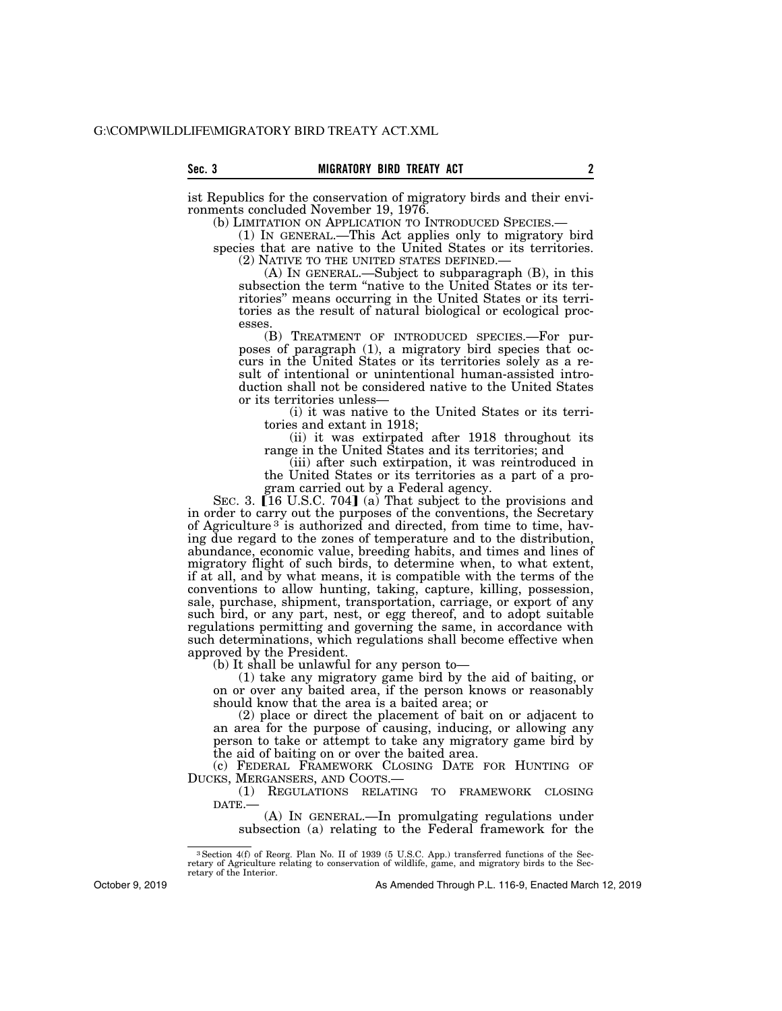ist Republics for the conservation of migratory birds and their environments concluded November 19, 1976.

(b) LIMITATION ON APPLICATION TO INTRODUCED SPECIES.— (1) IN GENERAL.—This Act applies only to migratory bird

species that are native to the United States or its territories.<br>(2) NATIVE TO THE UNITED STATES DEFINED.—

 $(A)$  In GENERAL.—Subject to subparagraph  $(B)$ , in this subsection the term "native to the United States or its territories'' means occurring in the United States or its territories as the result of natural biological or ecological processes.

(B) TREATMENT OF INTRODUCED SPECIES.—For purposes of paragraph (1), a migratory bird species that occurs in the United States or its territories solely as a result of intentional or unintentional human-assisted introduction shall not be considered native to the United States or its territories unless—

(i) it was native to the United States or its territories and extant in 1918;

(ii) it was extirpated after 1918 throughout its range in the United States and its territories; and

(iii) after such extirpation, it was reintroduced in the United States or its territories as a part of a program carried out by a Federal agency.

SEC. 3.  $[16 \text{ U.S.C. } 704]$  (a) That subject to the provisions and in order to carry out the purposes of the conventions, the Secretary of Agriculture<sup>3</sup> is authorized and directed, from time to time, having due regard to the zones of temperature and to the distribution, abundance, economic value, breeding habits, and times and lines of migratory flight of such birds, to determine when, to what extent, if at all, and by what means, it is compatible with the terms of the conventions to allow hunting, taking, capture, killing, possession, sale, purchase, shipment, transportation, carriage, or export of any such bird, or any part, nest, or egg thereof, and to adopt suitable regulations permitting and governing the same, in accordance with such determinations, which regulations shall become effective when approved by the President.

(b) It shall be unlawful for any person to—

(1) take any migratory game bird by the aid of baiting, or on or over any baited area, if the person knows or reasonably should know that the area is a baited area; or

(2) place or direct the placement of bait on or adjacent to an area for the purpose of causing, inducing, or allowing any person to take or attempt to take any migratory game bird by the aid of baiting on or over the baited area.

(c) FEDERAL FRAMEWORK CLOSING DATE FOR HUNTING OF DUCKS, MERGANSERS, AND COOTS.—

(1) REGULATIONS RELATING TO FRAMEWORK CLOSING

DATE.— (A) IN GENERAL.—In promulgating regulations under subsection (a) relating to the Federal framework for the

October 9, 2019

<sup>3</sup>Section 4(f) of Reorg. Plan No. II of 1939 (5 U.S.C. App.) transferred functions of the Sec-retary of Agriculture relating to conservation of wildlife, game, and migratory birds to the Secretary of the Interior.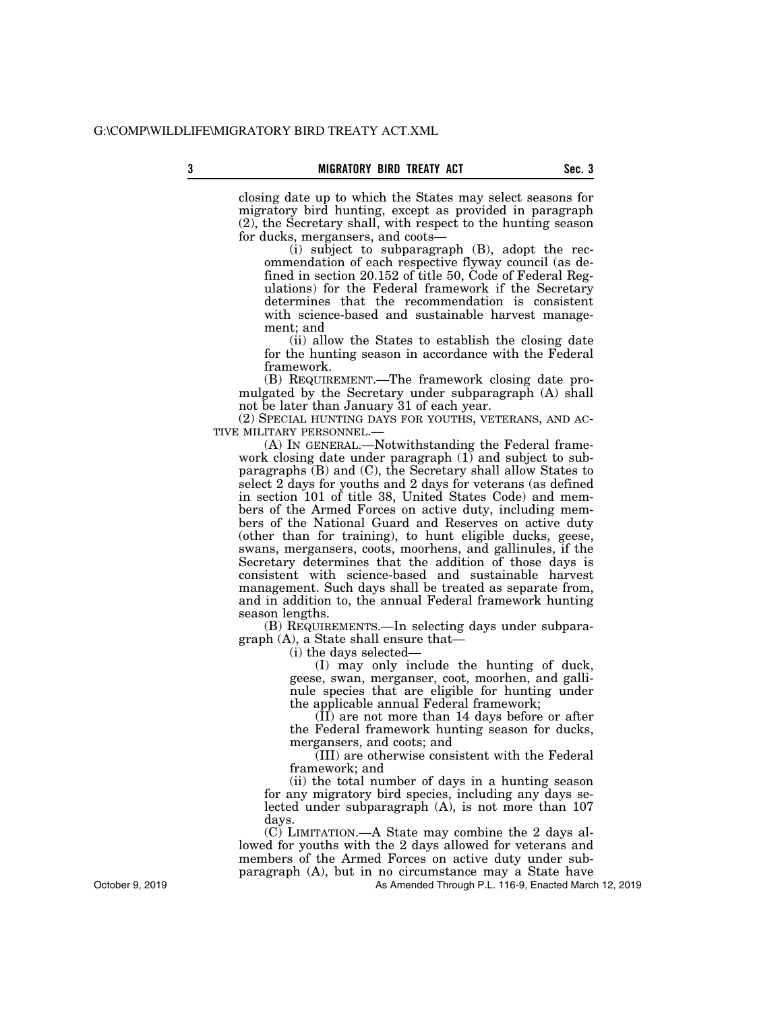closing date up to which the States may select seasons for migratory bird hunting, except as provided in paragraph (2), the Secretary shall, with respect to the hunting season for ducks, mergansers, and coots—

(i) subject to subparagraph (B), adopt the recommendation of each respective flyway council (as defined in section 20.152 of title 50, Code of Federal Regulations) for the Federal framework if the Secretary determines that the recommendation is consistent with science-based and sustainable harvest management; and

(ii) allow the States to establish the closing date for the hunting season in accordance with the Federal framework.

(B) REQUIREMENT.—The framework closing date promulgated by the Secretary under subparagraph (A) shall not be later than January 31 of each year.

(2) SPECIAL HUNTING DAYS FOR YOUTHS, VETERANS, AND AC-TIVE MILITARY PERSONNEL.—

(A) IN GENERAL.—Notwithstanding the Federal framework closing date under paragraph (1) and subject to subparagraphs (B) and (C), the Secretary shall allow States to select 2 days for youths and 2 days for veterans (as defined in section 101 of title 38, United States Code) and members of the Armed Forces on active duty, including members of the National Guard and Reserves on active duty (other than for training), to hunt eligible ducks, geese, swans, mergansers, coots, moorhens, and gallinules, if the Secretary determines that the addition of those days is consistent with science-based and sustainable harvest management. Such days shall be treated as separate from, and in addition to, the annual Federal framework hunting season lengths.

(B) REQUIREMENTS.—In selecting days under subparagraph (A), a State shall ensure that—

(i) the days selected—

(I) may only include the hunting of duck, geese, swan, merganser, coot, moorhen, and gallinule species that are eligible for hunting under the applicable annual Federal framework;

(II) are not more than 14 days before or after the Federal framework hunting season for ducks, mergansers, and coots; and

(III) are otherwise consistent with the Federal framework; and

(ii) the total number of days in a hunting season for any migratory bird species, including any days selected under subparagraph (A), is not more than 107 days.

(C) LIMITATION.—A State may combine the 2 days allowed for youths with the 2 days allowed for veterans and members of the Armed Forces on active duty under subparagraph (A), but in no circumstance may a State have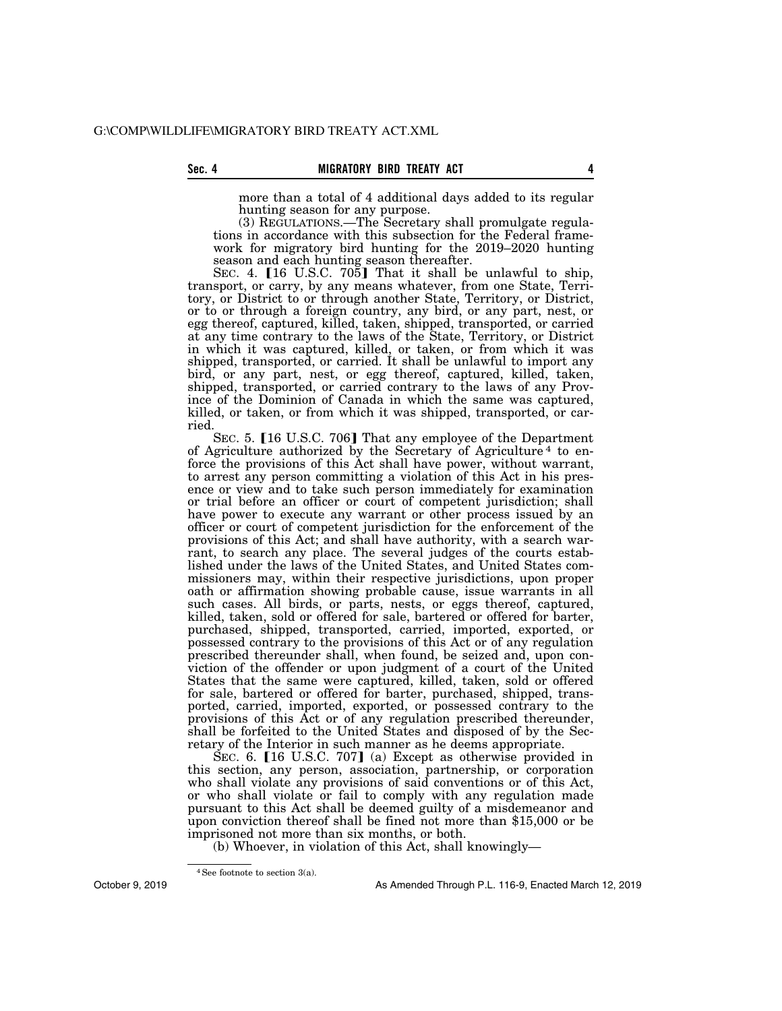more than a total of 4 additional days added to its regular hunting season for any purpose.

(3) REGULATIONS.—The Secretary shall promulgate regulations in accordance with this subsection for the Federal framework for migratory bird hunting for the 2019–2020 hunting season and each hunting season thereafter.

SEC. 4.  $[16 \text{ U.S.C. } 70\bar{5}]$  That it shall be unlawful to ship, transport, or carry, by any means whatever, from one State, Territory, or District to or through another State, Territory, or District, or to or through a foreign country, any bird, or any part, nest, or egg thereof, captured, killed, taken, shipped, transported, or carried at any time contrary to the laws of the State, Territory, or District in which it was captured, killed, or taken, or from which it was shipped, transported, or carried. It shall be unlawful to import any bird, or any part, nest, or egg thereof, captured, killed, taken, shipped, transported, or carried contrary to the laws of any Province of the Dominion of Canada in which the same was captured, killed, or taken, or from which it was shipped, transported, or carried.

SEC. 5. **[16 U.S.C. 706]** That any employee of the Department of Agriculture authorized by the Secretary of Agriculture<sup>4</sup> to enforce the provisions of this Act shall have power, without warrant, to arrest any person committing a violation of this Act in his presence or view and to take such person immediately for examination or trial before an officer or court of competent jurisdiction; shall have power to execute any warrant or other process issued by an officer or court of competent jurisdiction for the enforcement of the provisions of this Act; and shall have authority, with a search warrant, to search any place. The several judges of the courts established under the laws of the United States, and United States commissioners may, within their respective jurisdictions, upon proper oath or affirmation showing probable cause, issue warrants in all such cases. All birds, or parts, nests, or eggs thereof, captured, killed, taken, sold or offered for sale, bartered or offered for barter, purchased, shipped, transported, carried, imported, exported, or possessed contrary to the provisions of this Act or of any regulation prescribed thereunder shall, when found, be seized and, upon conviction of the offender or upon judgment of a court of the United States that the same were captured, killed, taken, sold or offered for sale, bartered or offered for barter, purchased, shipped, transported, carried, imported, exported, or possessed contrary to the provisions of this Act or of any regulation prescribed thereunder, shall be forfeited to the United States and disposed of by the Secretary of the Interior in such manner as he deems appropriate.

SEC. 6. [16 U.S.C. 707] (a) Except as otherwise provided in this section, any person, association, partnership, or corporation who shall violate any provisions of said conventions or of this Act, or who shall violate or fail to comply with any regulation made pursuant to this Act shall be deemed guilty of a misdemeanor and upon conviction thereof shall be fined not more than \$15,000 or be imprisoned not more than six months, or both.

(b) Whoever, in violation of this Act, shall knowingly—

<sup>4</sup>See footnote to section 3(a).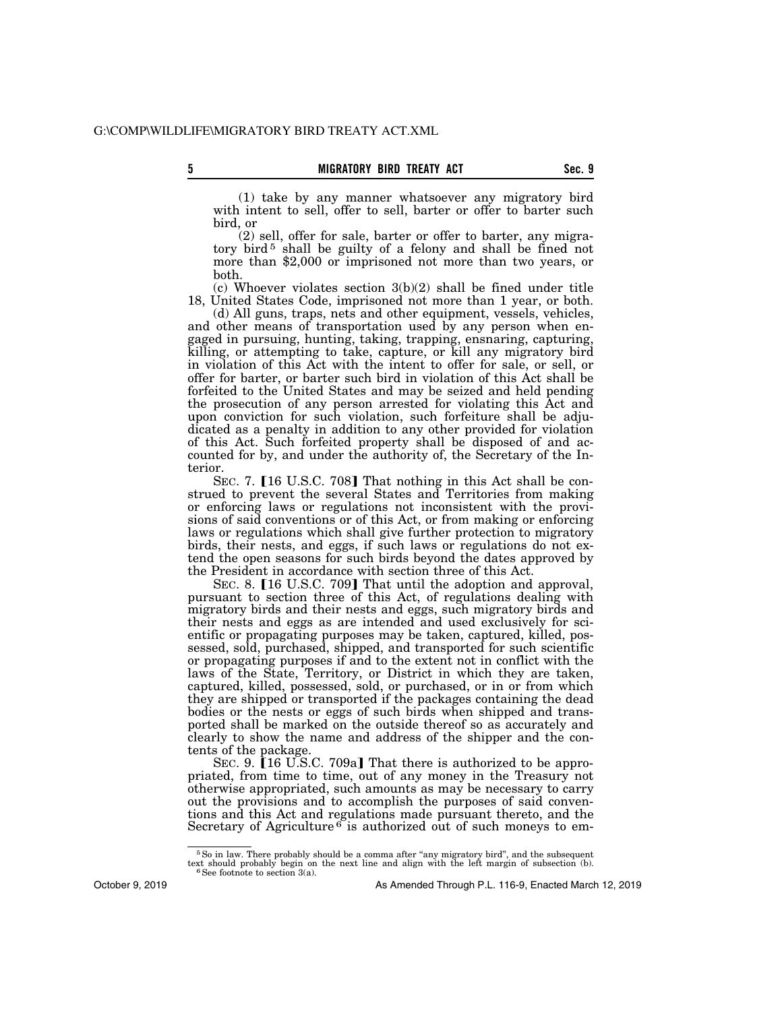(1) take by any manner whatsoever any migratory bird with intent to sell, offer to sell, barter or offer to barter such bird, or

(2) sell, offer for sale, barter or offer to barter, any migratory bird<sup>5</sup> shall be guilty of a felony and shall be fined not more than \$2,000 or imprisoned not more than two years, or both.

(c) Whoever violates section 3(b)(2) shall be fined under title 18, United States Code, imprisoned not more than 1 year, or both.

(d) All guns, traps, nets and other equipment, vessels, vehicles, and other means of transportation used by any person when engaged in pursuing, hunting, taking, trapping, ensnaring, capturing, killing, or attempting to take, capture, or kill any migratory bird in violation of this Act with the intent to offer for sale, or sell, or offer for barter, or barter such bird in violation of this Act shall be forfeited to the United States and may be seized and held pending the prosecution of any person arrested for violating this Act and upon conviction for such violation, such forfeiture shall be adjudicated as a penalty in addition to any other provided for violation of this Act. Such forfeited property shall be disposed of and accounted for by, and under the authority of, the Secretary of the Interior.

SEC. 7. **[16 U.S.C. 708]** That nothing in this Act shall be construed to prevent the several States and Territories from making or enforcing laws or regulations not inconsistent with the provisions of said conventions or of this Act, or from making or enforcing laws or regulations which shall give further protection to migratory birds, their nests, and eggs, if such laws or regulations do not extend the open seasons for such birds beyond the dates approved by the President in accordance with section three of this Act.

SEC. 8. [16 U.S.C. 709] That until the adoption and approval, pursuant to section three of this Act, of regulations dealing with migratory birds and their nests and eggs, such migratory birds and their nests and eggs as are intended and used exclusively for scientific or propagating purposes may be taken, captured, killed, possessed, sold, purchased, shipped, and transported for such scientific or propagating purposes if and to the extent not in conflict with the laws of the State, Territory, or District in which they are taken, captured, killed, possessed, sold, or purchased, or in or from which they are shipped or transported if the packages containing the dead bodies or the nests or eggs of such birds when shipped and transported shall be marked on the outside thereof so as accurately and clearly to show the name and address of the shipper and the contents of the package.

SEC. 9.  $[16 \text{ U.S.C. } 709a]$  That there is authorized to be appropriated, from time to time, out of any money in the Treasury not otherwise appropriated, such amounts as may be necessary to carry out the provisions and to accomplish the purposes of said conventions and this Act and regulations made pursuant thereto, and the Secretary of Agriculture<sup>6</sup> is authorized out of such moneys to em-

 $^{5}$  So in law. There probably should be a comma after "any migratory bird", and the subsequent text should probably begin on the next line and align with the left margin of subsection (b).  $^{6}$  See footnote to section